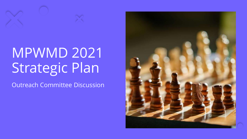## MPWMD 2021 Strategic Plan

Outreach Committee Discussion

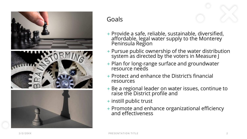





## Goals

- + Provide a safe, reliable, sustainable, diversified, affordable, legal water supply to the Monterey Peninsula Region
- + Pursue public ownership of the water distribution system as directed by the voters in Measure J
- + Plan for long-range surface and groundwater resource needs
- + Protect and enhance the District's financial resources
- + Be a regional leader on water issues, continue to raise the District profile and
- + instill public trust
- + Promote and enhance organizational efficiency and effectiveness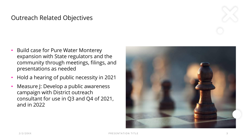## Outreach Related Objectives

- Build case for Pure Water Monterey expansion with State regulators and the community through meetings, filings, and presentations as needed
- Hold a hearing of public necessity in 2021
- Measure J: Develop a public awareness campaign with District outreach consultant for use in Q3 and Q4 of 2021, and in 2022

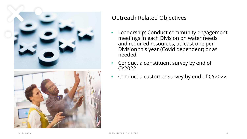

## Outreach Related Objectives

- Leadership: Conduct community engagement meetings in each Division on water needs and required resources, at least one per Division this year (Covid dependent) or as needed
- Conduct a constituent survey by end of CY2022
- Conduct a customer survey by end of CY2022